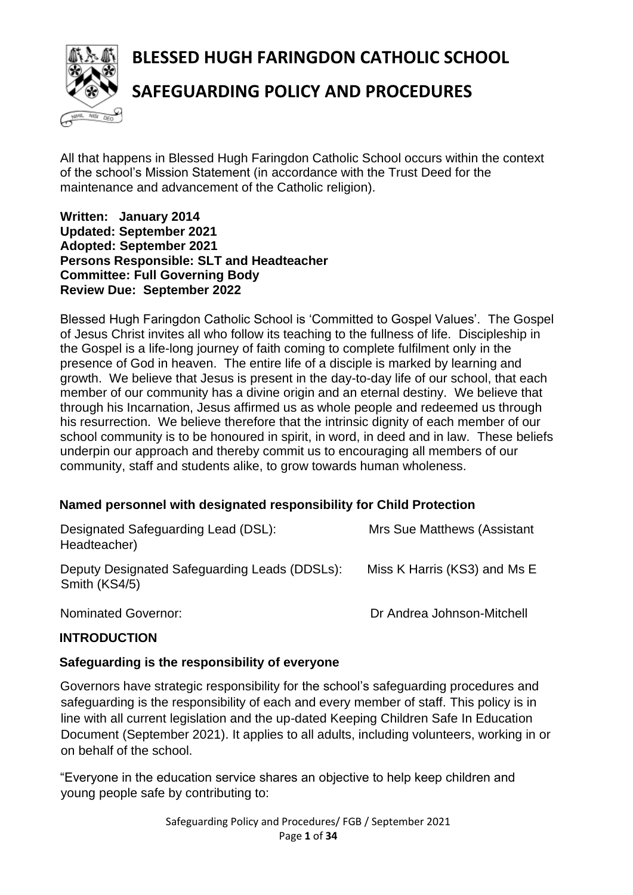**BLESSED HUGH FARINGDON CATHOLIC SCHOOL**



# **SAFEGUARDING POLICY AND PROCEDURES**

All that happens in Blessed Hugh Faringdon Catholic School occurs within the context of the school's Mission Statement (in accordance with the Trust Deed for the maintenance and advancement of the Catholic religion).

#### **Written: January 2014 Updated: September 2021 Adopted: September 2021 Persons Responsible: SLT and Headteacher Committee: Full Governing Body Review Due: September 2022**

Blessed Hugh Faringdon Catholic School is 'Committed to Gospel Values'. The Gospel of Jesus Christ invites all who follow its teaching to the fullness of life. Discipleship in the Gospel is a life-long journey of faith coming to complete fulfilment only in the presence of God in heaven. The entire life of a disciple is marked by learning and growth. We believe that Jesus is present in the day-to-day life of our school, that each member of our community has a divine origin and an eternal destiny. We believe that through his Incarnation, Jesus affirmed us as whole people and redeemed us through his resurrection. We believe therefore that the intrinsic dignity of each member of our school community is to be honoured in spirit, in word, in deed and in law. These beliefs underpin our approach and thereby commit us to encouraging all members of our community, staff and students alike, to grow towards human wholeness.

#### **Named personnel with designated responsibility for Child Protection**

| Designated Safeguarding Lead (DSL):<br>Headteacher)            | <b>Mrs Sue Matthews (Assistant</b> |
|----------------------------------------------------------------|------------------------------------|
| Deputy Designated Safeguarding Leads (DDSLs):<br>Smith (KS4/5) | Miss K Harris (KS3) and Ms E       |
| Nominated Governor:                                            | Dr Andrea Johnson-Mitchell         |

#### **INTRODUCTION**

#### **Safeguarding is the responsibility of everyone**

Governors have strategic responsibility for the school's safeguarding procedures and safeguarding is the responsibility of each and every member of staff. This policy is in line with all current legislation and the up-dated Keeping Children Safe In Education Document (September 2021). It applies to all adults, including volunteers, working in or on behalf of the school.

"Everyone in the education service shares an objective to help keep children and young people safe by contributing to:

> Safeguarding Policy and Procedures/ FGB / September 2021 Page **1** of **34**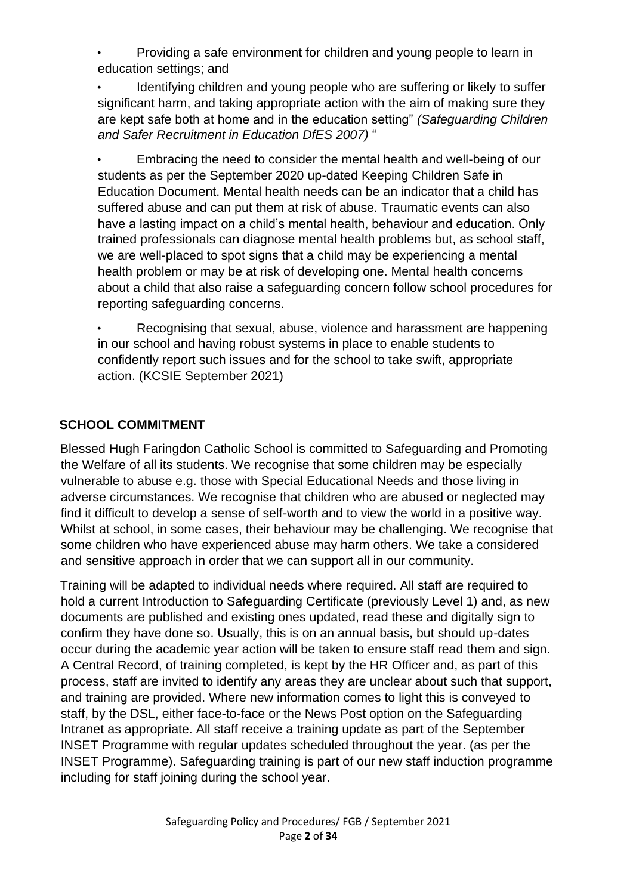• Providing a safe environment for children and young people to learn in education settings; and

• Identifying children and young people who are suffering or likely to suffer significant harm, and taking appropriate action with the aim of making sure they are kept safe both at home and in the education setting" *(Safeguarding Children and Safer Recruitment in Education DfES 2007)* "

• Embracing the need to consider the mental health and well-being of our students as per the September 2020 up-dated Keeping Children Safe in Education Document. Mental health needs can be an indicator that a child has suffered abuse and can put them at risk of abuse. Traumatic events can also have a lasting impact on a child's mental health, behaviour and education. Only trained professionals can diagnose mental health problems but, as school staff, we are well-placed to spot signs that a child may be experiencing a mental health problem or may be at risk of developing one. Mental health concerns about a child that also raise a safeguarding concern follow school procedures for reporting safeguarding concerns.

• Recognising that sexual, abuse, violence and harassment are happening in our school and having robust systems in place to enable students to confidently report such issues and for the school to take swift, appropriate action. (KCSIE September 2021)

## **SCHOOL COMMITMENT**

Blessed Hugh Faringdon Catholic School is committed to Safeguarding and Promoting the Welfare of all its students. We recognise that some children may be especially vulnerable to abuse e.g. those with Special Educational Needs and those living in adverse circumstances. We recognise that children who are abused or neglected may find it difficult to develop a sense of self-worth and to view the world in a positive way. Whilst at school, in some cases, their behaviour may be challenging. We recognise that some children who have experienced abuse may harm others. We take a considered and sensitive approach in order that we can support all in our community.

Training will be adapted to individual needs where required. All staff are required to hold a current Introduction to Safeguarding Certificate (previously Level 1) and, as new documents are published and existing ones updated, read these and digitally sign to confirm they have done so. Usually, this is on an annual basis, but should up-dates occur during the academic year action will be taken to ensure staff read them and sign. A Central Record, of training completed, is kept by the HR Officer and, as part of this process, staff are invited to identify any areas they are unclear about such that support, and training are provided. Where new information comes to light this is conveyed to staff, by the DSL, either face-to-face or the News Post option on the Safeguarding Intranet as appropriate. All staff receive a training update as part of the September INSET Programme with regular updates scheduled throughout the year. (as per the INSET Programme). Safeguarding training is part of our new staff induction programme including for staff joining during the school year.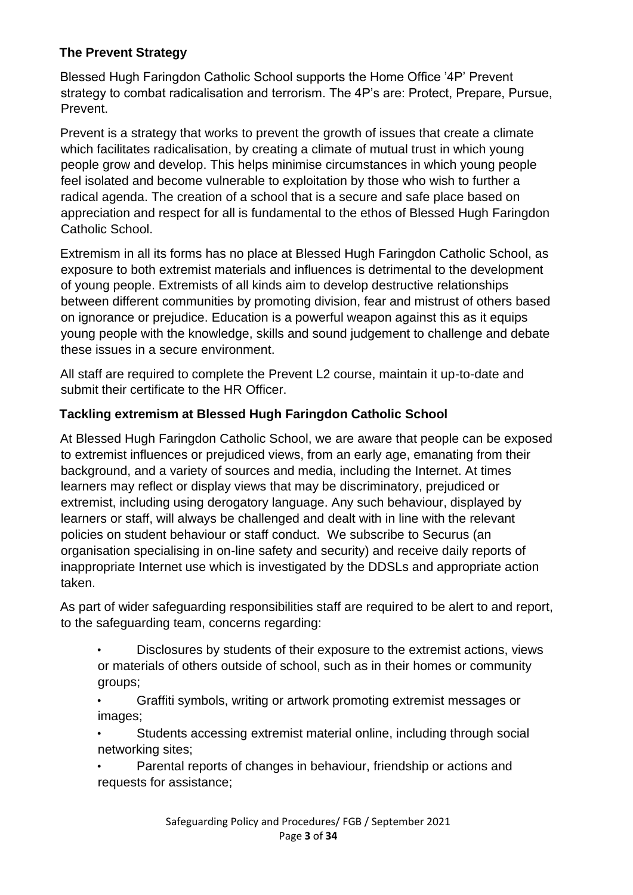## **The Prevent Strategy**

Blessed Hugh Faringdon Catholic School supports the Home Office '4P' Prevent strategy to combat radicalisation and terrorism. The 4P's are: Protect, Prepare, Pursue, Prevent.

Prevent is a strategy that works to prevent the growth of issues that create a climate which facilitates radicalisation, by creating a climate of mutual trust in which young people grow and develop. This helps minimise circumstances in which young people feel isolated and become vulnerable to exploitation by those who wish to further a radical agenda. The creation of a school that is a secure and safe place based on appreciation and respect for all is fundamental to the ethos of Blessed Hugh Faringdon Catholic School.

Extremism in all its forms has no place at Blessed Hugh Faringdon Catholic School, as exposure to both extremist materials and influences is detrimental to the development of young people. Extremists of all kinds aim to develop destructive relationships between different communities by promoting division, fear and mistrust of others based on ignorance or prejudice. Education is a powerful weapon against this as it equips young people with the knowledge, skills and sound judgement to challenge and debate these issues in a secure environment.

All staff are required to complete the Prevent L2 course, maintain it up-to-date and submit their certificate to the HR Officer.

### **Tackling extremism at Blessed Hugh Faringdon Catholic School**

At Blessed Hugh Faringdon Catholic School, we are aware that people can be exposed to extremist influences or prejudiced views, from an early age, emanating from their background, and a variety of sources and media, including the Internet. At times learners may reflect or display views that may be discriminatory, prejudiced or extremist, including using derogatory language. Any such behaviour, displayed by learners or staff, will always be challenged and dealt with in line with the relevant policies on student behaviour or staff conduct. We subscribe to Securus (an organisation specialising in on-line safety and security) and receive daily reports of inappropriate Internet use which is investigated by the DDSLs and appropriate action taken.

As part of wider safeguarding responsibilities staff are required to be alert to and report, to the safeguarding team, concerns regarding:

- Disclosures by students of their exposure to the extremist actions, views or materials of others outside of school, such as in their homes or community groups;
- Graffiti symbols, writing or artwork promoting extremist messages or images;
- Students accessing extremist material online, including through social networking sites;
- Parental reports of changes in behaviour, friendship or actions and requests for assistance;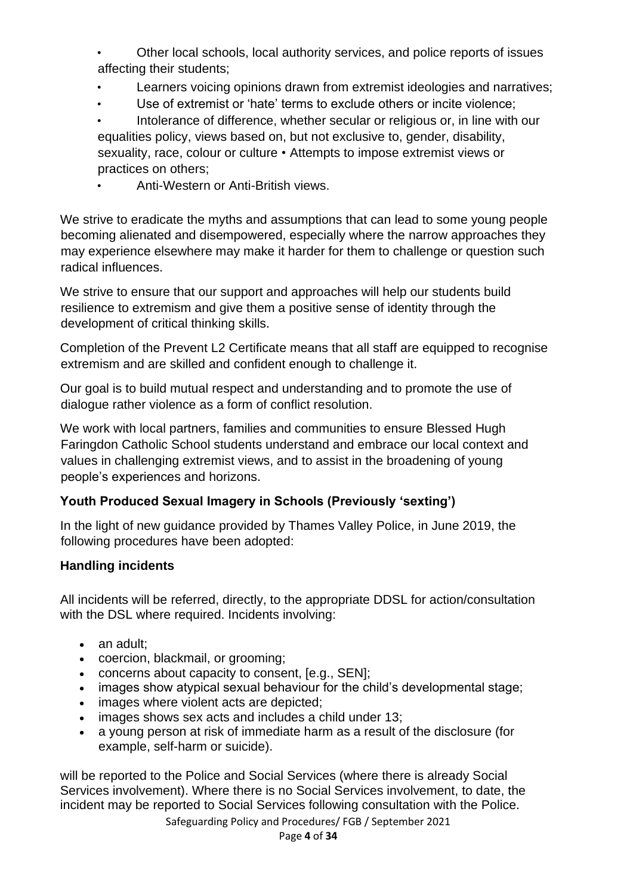- Other local schools, local authority services, and police reports of issues affecting their students;
- Learners voicing opinions drawn from extremist ideologies and narratives;
- Use of extremist or 'hate' terms to exclude others or incite violence:

• Intolerance of difference, whether secular or religious or, in line with our equalities policy, views based on, but not exclusive to, gender, disability, sexuality, race, colour or culture • Attempts to impose extremist views or practices on others;

• Anti-Western or Anti-British views.

We strive to eradicate the myths and assumptions that can lead to some young people becoming alienated and disempowered, especially where the narrow approaches they may experience elsewhere may make it harder for them to challenge or question such radical influences.

We strive to ensure that our support and approaches will help our students build resilience to extremism and give them a positive sense of identity through the development of critical thinking skills.

Completion of the Prevent L2 Certificate means that all staff are equipped to recognise extremism and are skilled and confident enough to challenge it.

Our goal is to build mutual respect and understanding and to promote the use of dialogue rather violence as a form of conflict resolution.

We work with local partners, families and communities to ensure Blessed Hugh Faringdon Catholic School students understand and embrace our local context and values in challenging extremist views, and to assist in the broadening of young people's experiences and horizons.

#### **Youth Produced Sexual Imagery in Schools (Previously 'sexting')**

In the light of new guidance provided by Thames Valley Police, in June 2019, the following procedures have been adopted:

#### **Handling incidents**

All incidents will be referred, directly, to the appropriate DDSL for action/consultation with the DSL where required. Incidents involving:

- an adult:
- coercion, blackmail, or grooming:
- concerns about capacity to consent, [e.g., SEN];
- images show atypical sexual behaviour for the child's developmental stage;
- images where violent acts are depicted;
- images shows sex acts and includes a child under 13;
- a young person at risk of immediate harm as a result of the disclosure (for example, self-harm or suicide).

will be reported to the Police and Social Services (where there is already Social Services involvement). Where there is no Social Services involvement, to date, the incident may be reported to Social Services following consultation with the Police.

Safeguarding Policy and Procedures/ FGB / September 2021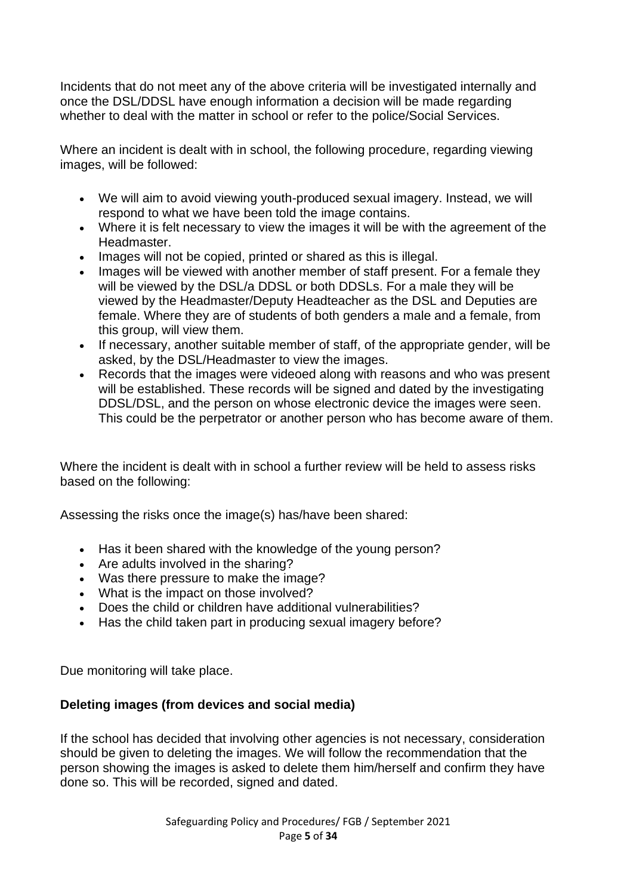Incidents that do not meet any of the above criteria will be investigated internally and once the DSL/DDSL have enough information a decision will be made regarding whether to deal with the matter in school or refer to the police/Social Services.

Where an incident is dealt with in school, the following procedure, regarding viewing images, will be followed:

- We will aim to avoid viewing youth-produced sexual imagery. Instead, we will respond to what we have been told the image contains.
- Where it is felt necessary to view the images it will be with the agreement of the **Headmaster**
- Images will not be copied, printed or shared as this is illegal.
- Images will be viewed with another member of staff present. For a female they will be viewed by the DSL/a DDSL or both DDSLs. For a male they will be viewed by the Headmaster/Deputy Headteacher as the DSL and Deputies are female. Where they are of students of both genders a male and a female, from this group, will view them.
- If necessary, another suitable member of staff, of the appropriate gender, will be asked, by the DSL/Headmaster to view the images.
- Records that the images were videoed along with reasons and who was present will be established. These records will be signed and dated by the investigating DDSL/DSL, and the person on whose electronic device the images were seen. This could be the perpetrator or another person who has become aware of them.

Where the incident is dealt with in school a further review will be held to assess risks based on the following:

Assessing the risks once the image(s) has/have been shared:

- Has it been shared with the knowledge of the young person?
- Are adults involved in the sharing?
- Was there pressure to make the image?
- What is the impact on those involved?
- Does the child or children have additional vulnerabilities?
- Has the child taken part in producing sexual imagery before?

Due monitoring will take place.

#### **Deleting images (from devices and social media)**

If the school has decided that involving other agencies is not necessary, consideration should be given to deleting the images. We will follow the recommendation that the person showing the images is asked to delete them him/herself and confirm they have done so. This will be recorded, signed and dated.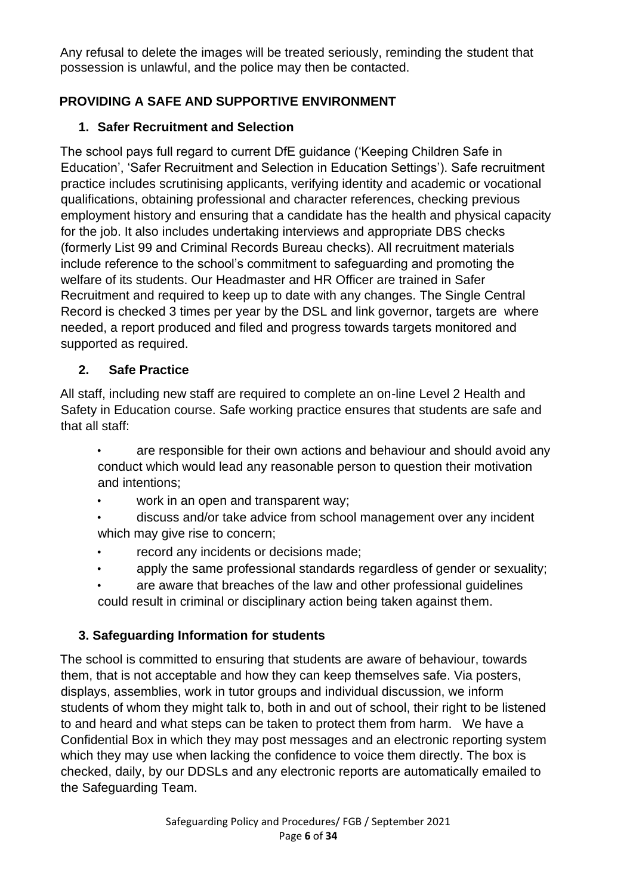Any refusal to delete the images will be treated seriously, reminding the student that possession is unlawful, and the police may then be contacted.

## **PROVIDING A SAFE AND SUPPORTIVE ENVIRONMENT**

## **1. Safer Recruitment and Selection**

The school pays full regard to current DfE guidance ('Keeping Children Safe in Education', 'Safer Recruitment and Selection in Education Settings'). Safe recruitment practice includes scrutinising applicants, verifying identity and academic or vocational qualifications, obtaining professional and character references, checking previous employment history and ensuring that a candidate has the health and physical capacity for the job. It also includes undertaking interviews and appropriate DBS checks (formerly List 99 and Criminal Records Bureau checks). All recruitment materials include reference to the school's commitment to safeguarding and promoting the welfare of its students. Our Headmaster and HR Officer are trained in Safer Recruitment and required to keep up to date with any changes. The Single Central Record is checked 3 times per year by the DSL and link governor, targets are where needed, a report produced and filed and progress towards targets monitored and supported as required.

## **2. Safe Practice**

All staff, including new staff are required to complete an on-line Level 2 Health and Safety in Education course. Safe working practice ensures that students are safe and that all staff:

- are responsible for their own actions and behaviour and should avoid any conduct which would lead any reasonable person to question their motivation and intentions;
- work in an open and transparent way;
- discuss and/or take advice from school management over any incident which may give rise to concern;
- record any incidents or decisions made;
- apply the same professional standards regardless of gender or sexuality;
- are aware that breaches of the law and other professional guidelines could result in criminal or disciplinary action being taken against them.

## **3. Safeguarding Information for students**

The school is committed to ensuring that students are aware of behaviour, towards them, that is not acceptable and how they can keep themselves safe. Via posters, displays, assemblies, work in tutor groups and individual discussion, we inform students of whom they might talk to, both in and out of school, their right to be listened to and heard and what steps can be taken to protect them from harm. We have a Confidential Box in which they may post messages and an electronic reporting system which they may use when lacking the confidence to voice them directly. The box is checked, daily, by our DDSLs and any electronic reports are automatically emailed to the Safeguarding Team.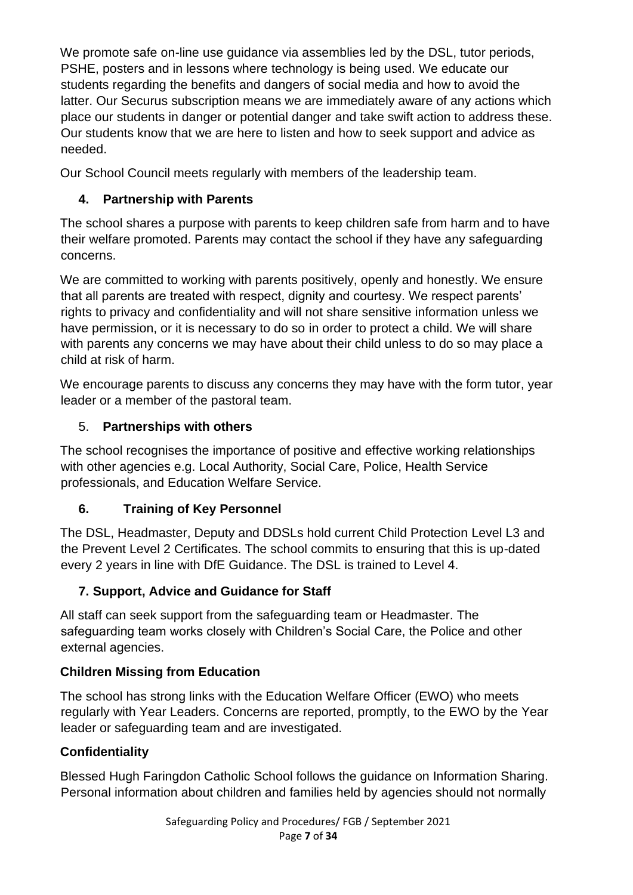We promote safe on-line use quidance via assemblies led by the DSL, tutor periods, PSHE, posters and in lessons where technology is being used. We educate our students regarding the benefits and dangers of social media and how to avoid the latter. Our Securus subscription means we are immediately aware of any actions which place our students in danger or potential danger and take swift action to address these. Our students know that we are here to listen and how to seek support and advice as needed.

Our School Council meets regularly with members of the leadership team.

## **4. Partnership with Parents**

The school shares a purpose with parents to keep children safe from harm and to have their welfare promoted. Parents may contact the school if they have any safeguarding concerns.

We are committed to working with parents positively, openly and honestly. We ensure that all parents are treated with respect, dignity and courtesy. We respect parents' rights to privacy and confidentiality and will not share sensitive information unless we have permission, or it is necessary to do so in order to protect a child. We will share with parents any concerns we may have about their child unless to do so may place a child at risk of harm.

We encourage parents to discuss any concerns they may have with the form tutor, year leader or a member of the pastoral team.

## 5. **Partnerships with others**

The school recognises the importance of positive and effective working relationships with other agencies e.g. Local Authority, Social Care, Police, Health Service professionals, and Education Welfare Service.

## **6. Training of Key Personnel**

The DSL, Headmaster, Deputy and DDSLs hold current Child Protection Level L3 and the Prevent Level 2 Certificates. The school commits to ensuring that this is up-dated every 2 years in line with DfE Guidance. The DSL is trained to Level 4.

## **7. Support, Advice and Guidance for Staff**

All staff can seek support from the safeguarding team or Headmaster. The safeguarding team works closely with Children's Social Care, the Police and other external agencies.

## **Children Missing from Education**

The school has strong links with the Education Welfare Officer (EWO) who meets regularly with Year Leaders. Concerns are reported, promptly, to the EWO by the Year leader or safeguarding team and are investigated.

## **Confidentiality**

Blessed Hugh Faringdon Catholic School follows the guidance on Information Sharing. Personal information about children and families held by agencies should not normally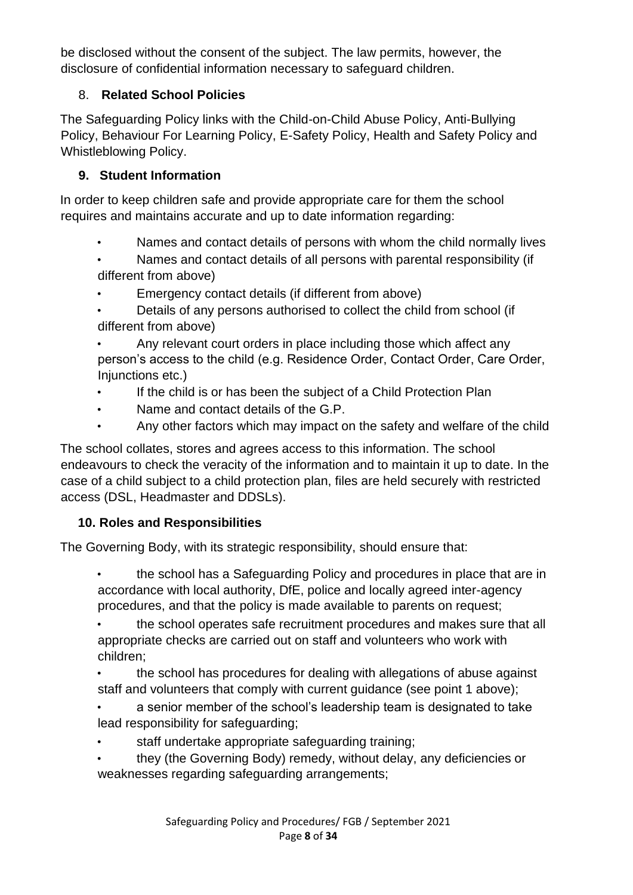be disclosed without the consent of the subject. The law permits, however, the disclosure of confidential information necessary to safeguard children.

## 8. **Related School Policies**

The Safeguarding Policy links with the Child-on-Child Abuse Policy, Anti-Bullying Policy, Behaviour For Learning Policy, E-Safety Policy, Health and Safety Policy and Whistleblowing Policy.

## **9. Student Information**

In order to keep children safe and provide appropriate care for them the school requires and maintains accurate and up to date information regarding:

- Names and contact details of persons with whom the child normally lives
- Names and contact details of all persons with parental responsibility (if different from above)
- Emergency contact details (if different from above)
- Details of any persons authorised to collect the child from school (if different from above)

Any relevant court orders in place including those which affect any person's access to the child (e.g. Residence Order, Contact Order, Care Order, Injunctions etc.)

- If the child is or has been the subject of a Child Protection Plan
- Name and contact details of the G.P.
- Any other factors which may impact on the safety and welfare of the child

The school collates, stores and agrees access to this information. The school endeavours to check the veracity of the information and to maintain it up to date. In the case of a child subject to a child protection plan, files are held securely with restricted access (DSL, Headmaster and DDSLs).

## **10. Roles and Responsibilities**

The Governing Body, with its strategic responsibility, should ensure that:

• the school has a Safeguarding Policy and procedures in place that are in accordance with local authority, DfE, police and locally agreed inter-agency procedures, and that the policy is made available to parents on request;

• the school operates safe recruitment procedures and makes sure that all appropriate checks are carried out on staff and volunteers who work with children;

• the school has procedures for dealing with allegations of abuse against staff and volunteers that comply with current guidance (see point 1 above);

• a senior member of the school's leadership team is designated to take lead responsibility for safeguarding;

- staff undertake appropriate safeguarding training;
- they (the Governing Body) remedy, without delay, any deficiencies or weaknesses regarding safeguarding arrangements;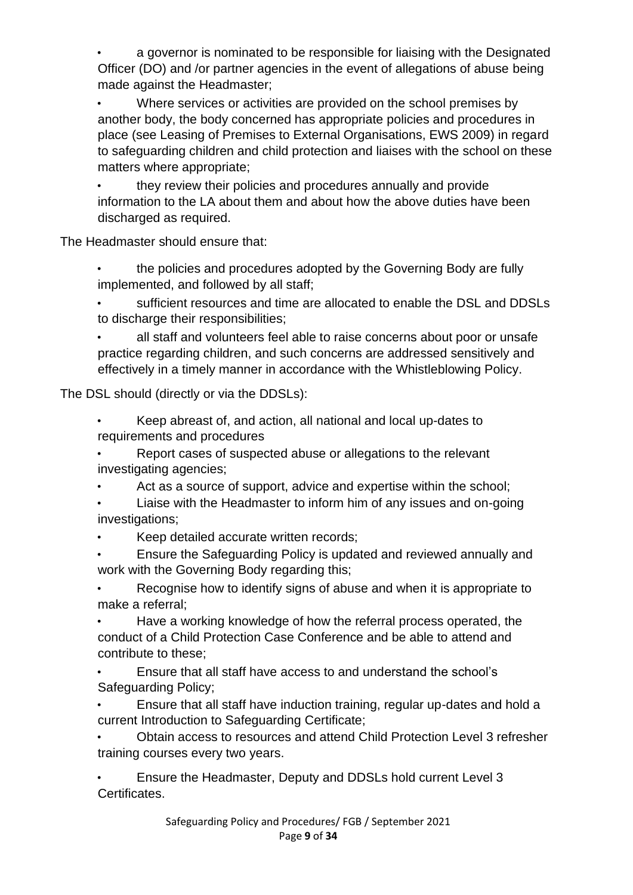• a governor is nominated to be responsible for liaising with the Designated Officer (DO) and /or partner agencies in the event of allegations of abuse being made against the Headmaster;

• Where services or activities are provided on the school premises by another body, the body concerned has appropriate policies and procedures in place (see Leasing of Premises to External Organisations, EWS 2009) in regard to safeguarding children and child protection and liaises with the school on these matters where appropriate;

they review their policies and procedures annually and provide information to the LA about them and about how the above duties have been discharged as required.

The Headmaster should ensure that:

• the policies and procedures adopted by the Governing Body are fully implemented, and followed by all staff;

• sufficient resources and time are allocated to enable the DSL and DDSLs to discharge their responsibilities;

all staff and volunteers feel able to raise concerns about poor or unsafe practice regarding children, and such concerns are addressed sensitively and effectively in a timely manner in accordance with the Whistleblowing Policy.

The DSL should (directly or via the DDSLs):

• Keep abreast of, and action, all national and local up-dates to requirements and procedures

• Report cases of suspected abuse or allegations to the relevant investigating agencies;

Act as a source of support, advice and expertise within the school;

• Liaise with the Headmaster to inform him of any issues and on-going investigations;

• Keep detailed accurate written records;

• Ensure the Safeguarding Policy is updated and reviewed annually and work with the Governing Body regarding this;

• Recognise how to identify signs of abuse and when it is appropriate to make a referral;

• Have a working knowledge of how the referral process operated, the conduct of a Child Protection Case Conference and be able to attend and contribute to these;

• Ensure that all staff have access to and understand the school's Safeguarding Policy;

• Ensure that all staff have induction training, regular up-dates and hold a current Introduction to Safeguarding Certificate;

• Obtain access to resources and attend Child Protection Level 3 refresher training courses every two years.

• Ensure the Headmaster, Deputy and DDSLs hold current Level 3 Certificates.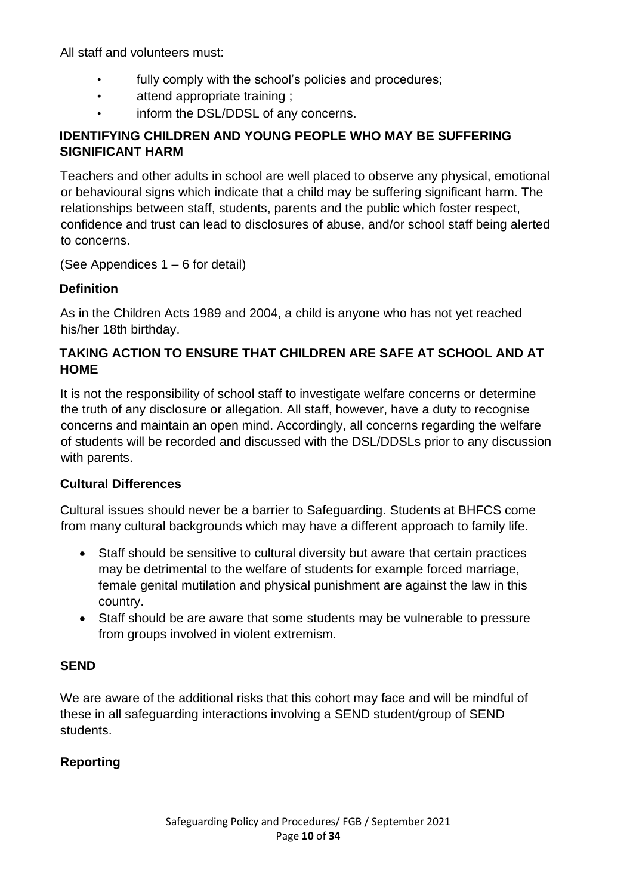All staff and volunteers must:

- fully comply with the school's policies and procedures;
- attend appropriate training ;
- inform the DSL/DDSL of any concerns.

### **IDENTIFYING CHILDREN AND YOUNG PEOPLE WHO MAY BE SUFFERING SIGNIFICANT HARM**

Teachers and other adults in school are well placed to observe any physical, emotional or behavioural signs which indicate that a child may be suffering significant harm. The relationships between staff, students, parents and the public which foster respect, confidence and trust can lead to disclosures of abuse, and/or school staff being alerted to concerns.

(See Appendices 1 – 6 for detail)

#### **Definition**

As in the Children Acts 1989 and 2004, a child is anyone who has not yet reached his/her 18th birthday.

### **TAKING ACTION TO ENSURE THAT CHILDREN ARE SAFE AT SCHOOL AND AT HOME**

It is not the responsibility of school staff to investigate welfare concerns or determine the truth of any disclosure or allegation. All staff, however, have a duty to recognise concerns and maintain an open mind. Accordingly, all concerns regarding the welfare of students will be recorded and discussed with the DSL/DDSLs prior to any discussion with parents.

#### **Cultural Differences**

Cultural issues should never be a barrier to Safeguarding. Students at BHFCS come from many cultural backgrounds which may have a different approach to family life.

- Staff should be sensitive to cultural diversity but aware that certain practices may be detrimental to the welfare of students for example forced marriage, female genital mutilation and physical punishment are against the law in this country.
- Staff should be are aware that some students may be vulnerable to pressure from groups involved in violent extremism.

#### **SEND**

We are aware of the additional risks that this cohort may face and will be mindful of these in all safeguarding interactions involving a SEND student/group of SEND students.

## **Reporting**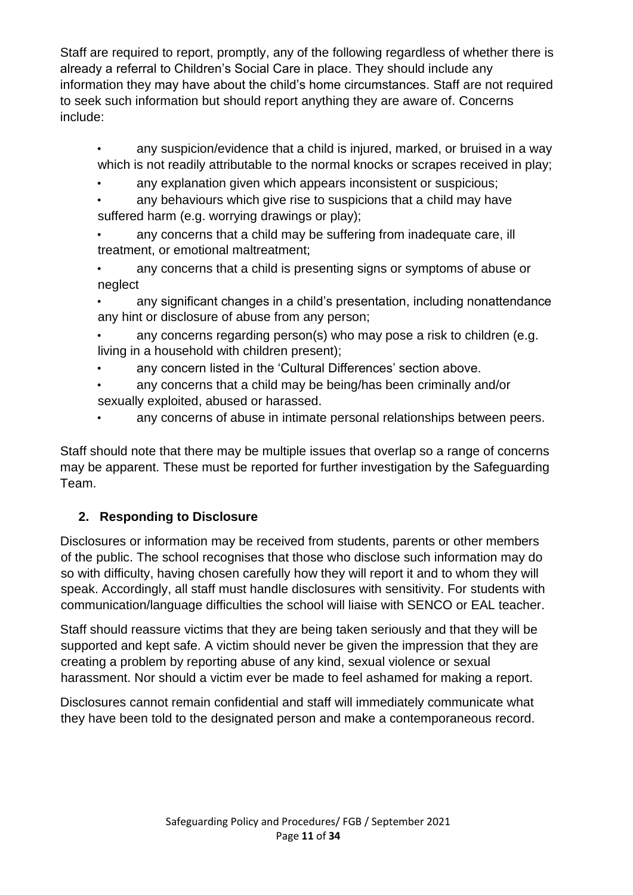Staff are required to report, promptly, any of the following regardless of whether there is already a referral to Children's Social Care in place. They should include any information they may have about the child's home circumstances. Staff are not required to seek such information but should report anything they are aware of. Concerns include:

- any suspicion/evidence that a child is injured, marked, or bruised in a way which is not readily attributable to the normal knocks or scrapes received in play;
- any explanation given which appears inconsistent or suspicious:
- any behaviours which give rise to suspicions that a child may have suffered harm (e.g. worrying drawings or play);
- any concerns that a child may be suffering from inadequate care, ill treatment, or emotional maltreatment;
- any concerns that a child is presenting signs or symptoms of abuse or neglect
- any significant changes in a child's presentation, including nonattendance any hint or disclosure of abuse from any person;
- any concerns regarding person(s) who may pose a risk to children (e.g. living in a household with children present);
- any concern listed in the 'Cultural Differences' section above.
- any concerns that a child may be being/has been criminally and/or sexually exploited, abused or harassed.
- any concerns of abuse in intimate personal relationships between peers.

Staff should note that there may be multiple issues that overlap so a range of concerns may be apparent. These must be reported for further investigation by the Safeguarding Team.

## **2. Responding to Disclosure**

Disclosures or information may be received from students, parents or other members of the public. The school recognises that those who disclose such information may do so with difficulty, having chosen carefully how they will report it and to whom they will speak. Accordingly, all staff must handle disclosures with sensitivity. For students with communication/language difficulties the school will liaise with SENCO or EAL teacher.

Staff should reassure victims that they are being taken seriously and that they will be supported and kept safe. A victim should never be given the impression that they are creating a problem by reporting abuse of any kind, sexual violence or sexual harassment. Nor should a victim ever be made to feel ashamed for making a report.

Disclosures cannot remain confidential and staff will immediately communicate what they have been told to the designated person and make a contemporaneous record.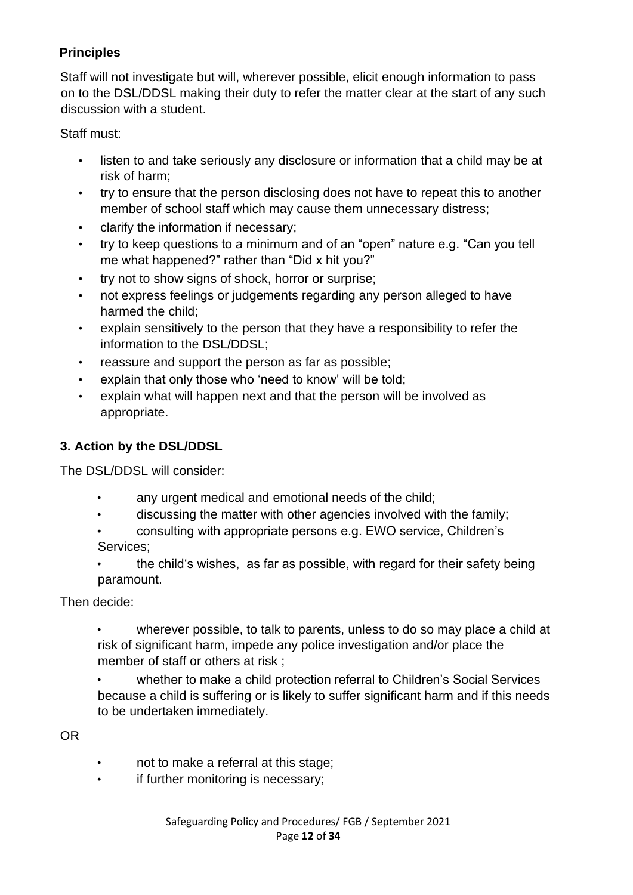## **Principles**

Staff will not investigate but will, wherever possible, elicit enough information to pass on to the DSL/DDSL making their duty to refer the matter clear at the start of any such discussion with a student.

Staff must:

- listen to and take seriously any disclosure or information that a child may be at risk of harm;
- try to ensure that the person disclosing does not have to repeat this to another member of school staff which may cause them unnecessary distress;
- clarify the information if necessary;
- try to keep questions to a minimum and of an "open" nature e.g. "Can you tell me what happened?" rather than "Did x hit you?"
- try not to show signs of shock, horror or surprise;
- not express feelings or judgements regarding any person alleged to have harmed the child;
- explain sensitively to the person that they have a responsibility to refer the information to the DSL/DDSL;
- reassure and support the person as far as possible;
- explain that only those who 'need to know' will be told;
- explain what will happen next and that the person will be involved as appropriate.

## **3. Action by the DSL/DDSL**

The DSL/DDSL will consider:

- any urgent medical and emotional needs of the child;
- discussing the matter with other agencies involved with the family;
- consulting with appropriate persons e.g. EWO service, Children's Services;
- the child's wishes, as far as possible, with regard for their safety being paramount.

Then decide:

- wherever possible, to talk to parents, unless to do so may place a child at risk of significant harm, impede any police investigation and/or place the member of staff or others at risk ;
- whether to make a child protection referral to Children's Social Services because a child is suffering or is likely to suffer significant harm and if this needs to be undertaken immediately.

OR

- not to make a referral at this stage;
- if further monitoring is necessary;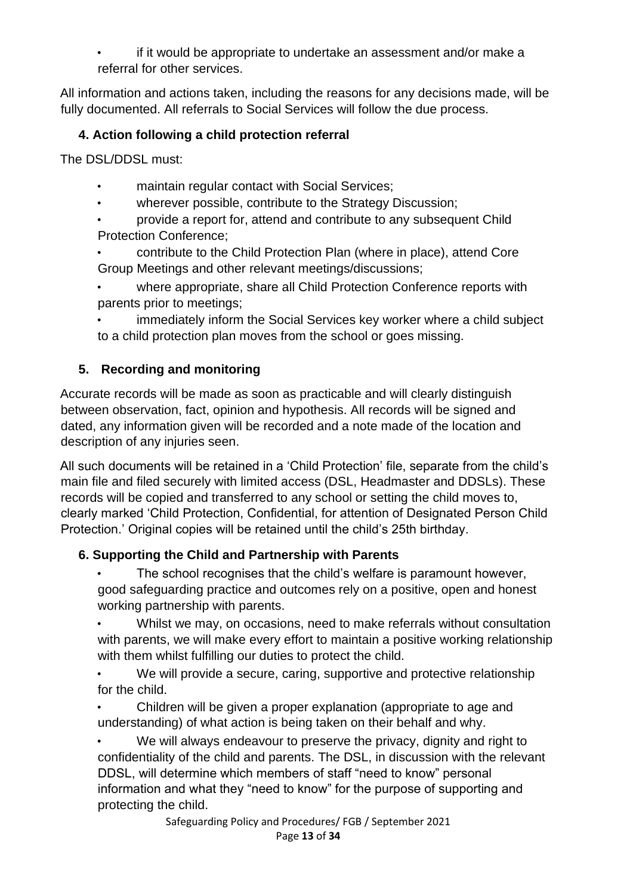• if it would be appropriate to undertake an assessment and/or make a referral for other services.

All information and actions taken, including the reasons for any decisions made, will be fully documented. All referrals to Social Services will follow the due process.

## **4. Action following a child protection referral**

The DSL/DDSL must:

- maintain regular contact with Social Services;
- wherever possible, contribute to the Strategy Discussion;
- provide a report for, attend and contribute to any subsequent Child Protection Conference;
- contribute to the Child Protection Plan (where in place), attend Core Group Meetings and other relevant meetings/discussions;
- where appropriate, share all Child Protection Conference reports with parents prior to meetings;
- immediately inform the Social Services key worker where a child subject to a child protection plan moves from the school or goes missing.

## **5. Recording and monitoring**

Accurate records will be made as soon as practicable and will clearly distinguish between observation, fact, opinion and hypothesis. All records will be signed and dated, any information given will be recorded and a note made of the location and description of any injuries seen.

All such documents will be retained in a 'Child Protection' file, separate from the child's main file and filed securely with limited access (DSL, Headmaster and DDSLs). These records will be copied and transferred to any school or setting the child moves to, clearly marked 'Child Protection, Confidential, for attention of Designated Person Child Protection.' Original copies will be retained until the child's 25th birthday.

## **6. Supporting the Child and Partnership with Parents**

The school recognises that the child's welfare is paramount however, good safeguarding practice and outcomes rely on a positive, open and honest working partnership with parents.

• Whilst we may, on occasions, need to make referrals without consultation with parents, we will make every effort to maintain a positive working relationship with them whilst fulfilling our duties to protect the child.

We will provide a secure, caring, supportive and protective relationship for the child.

• Children will be given a proper explanation (appropriate to age and understanding) of what action is being taken on their behalf and why.

We will always endeavour to preserve the privacy, dignity and right to confidentiality of the child and parents. The DSL, in discussion with the relevant DDSL, will determine which members of staff "need to know" personal information and what they "need to know" for the purpose of supporting and protecting the child.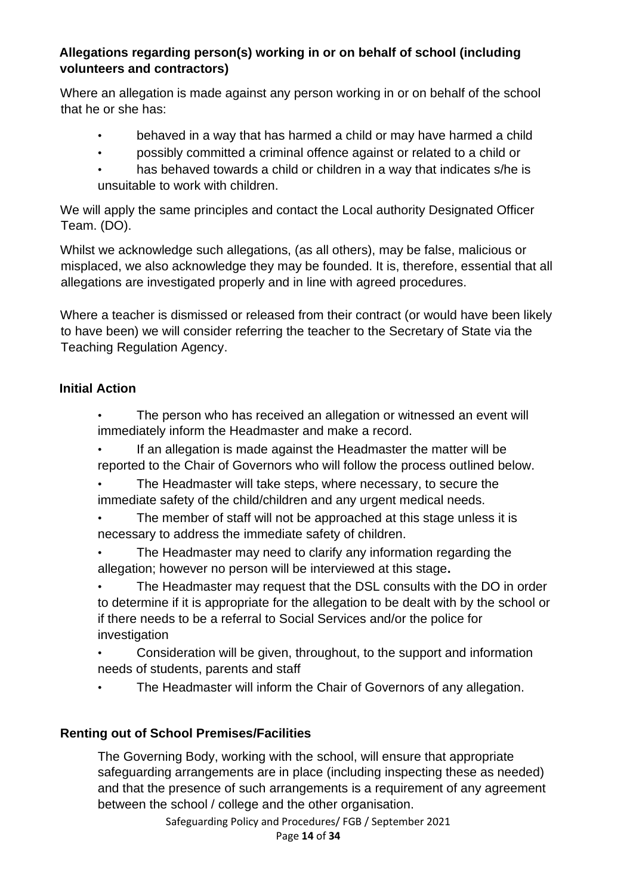#### **Allegations regarding person(s) working in or on behalf of school (including volunteers and contractors)**

Where an allegation is made against any person working in or on behalf of the school that he or she has:

- behaved in a way that has harmed a child or may have harmed a child
- possibly committed a criminal offence against or related to a child or
- has behaved towards a child or children in a way that indicates s/he is unsuitable to work with children.

We will apply the same principles and contact the Local authority Designated Officer Team. (DO).

Whilst we acknowledge such allegations, (as all others), may be false, malicious or misplaced, we also acknowledge they may be founded. It is, therefore, essential that all allegations are investigated properly and in line with agreed procedures.

Where a teacher is dismissed or released from their contract (or would have been likely to have been) we will consider referring the teacher to the Secretary of State via the Teaching Regulation Agency.

### **Initial Action**

- The person who has received an allegation or witnessed an event will immediately inform the Headmaster and make a record.
- If an allegation is made against the Headmaster the matter will be reported to the Chair of Governors who will follow the process outlined below.
- The Headmaster will take steps, where necessary, to secure the immediate safety of the child/children and any urgent medical needs.
- The member of staff will not be approached at this stage unless it is necessary to address the immediate safety of children.
- The Headmaster may need to clarify any information regarding the allegation; however no person will be interviewed at this stage**.**
- The Headmaster may request that the DSL consults with the DO in order to determine if it is appropriate for the allegation to be dealt with by the school or if there needs to be a referral to Social Services and/or the police for investigation
- Consideration will be given, throughout, to the support and information needs of students, parents and staff
- The Headmaster will inform the Chair of Governors of any allegation.

## **Renting out of School Premises/Facilities**

The Governing Body, working with the school, will ensure that appropriate safeguarding arrangements are in place (including inspecting these as needed) and that the presence of such arrangements is a requirement of any agreement between the school / college and the other organisation.

Safeguarding Policy and Procedures/ FGB / September 2021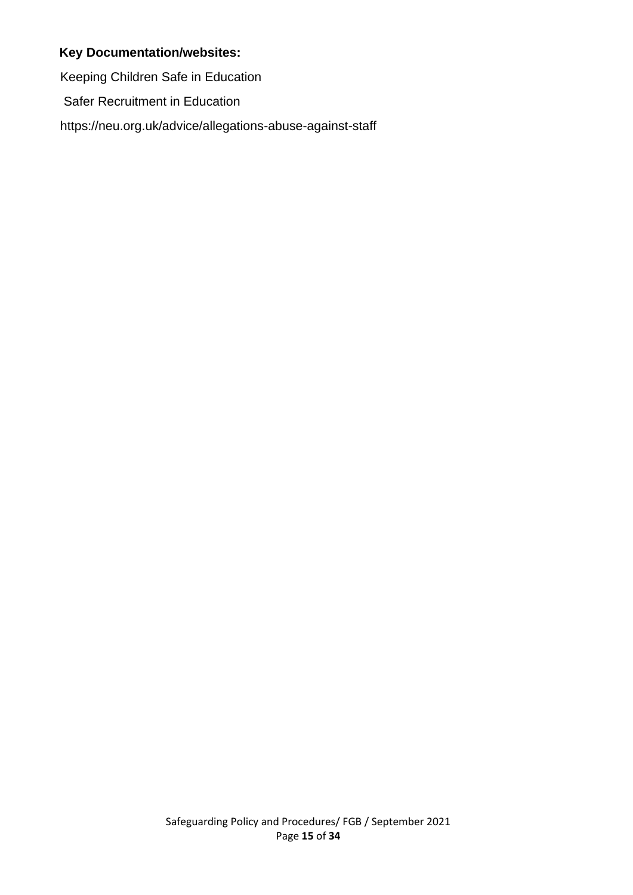#### **Key Documentation/websites:**

Keeping Children Safe in Education

Safer Recruitment in Education

https://neu.org.uk/advice/allegations-abuse-against-staff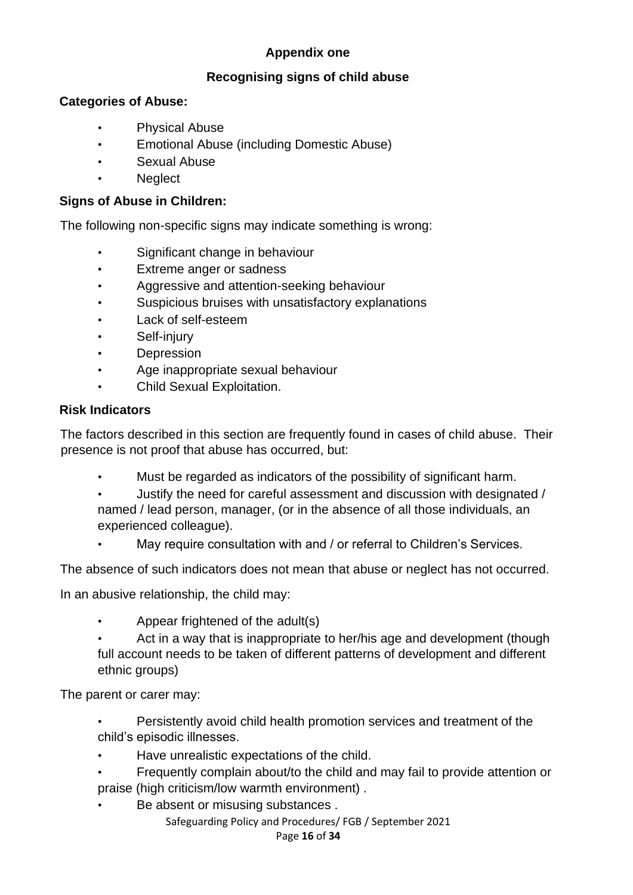## **Appendix one**

#### **Recognising signs of child abuse**

#### **Categories of Abuse:**

- Physical Abuse
- Emotional Abuse (including Domestic Abuse)
- Sexual Abuse
- **Neglect**

#### **Signs of Abuse in Children:**

The following non-specific signs may indicate something is wrong:

- Significant change in behaviour
- Extreme anger or sadness
- Aggressive and attention-seeking behaviour
- Suspicious bruises with unsatisfactory explanations
- Lack of self-esteem
- Self-injury
- **Depression**
- Age inappropriate sexual behaviour
- Child Sexual Exploitation.

#### **Risk Indicators**

The factors described in this section are frequently found in cases of child abuse. Their presence is not proof that abuse has occurred, but:

- Must be regarded as indicators of the possibility of significant harm.
- Justify the need for careful assessment and discussion with designated / named / lead person, manager, (or in the absence of all those individuals, an experienced colleague).
- May require consultation with and / or referral to Children's Services.

The absence of such indicators does not mean that abuse or neglect has not occurred.

In an abusive relationship, the child may:

- Appear frightened of the adult(s)
- Act in a way that is inappropriate to her/his age and development (though full account needs to be taken of different patterns of development and different ethnic groups)

The parent or carer may:

- Persistently avoid child health promotion services and treatment of the child's episodic illnesses.
- Have unrealistic expectations of the child.
- Frequently complain about/to the child and may fail to provide attention or praise (high criticism/low warmth environment) .
- Be absent or misusing substances.

Safeguarding Policy and Procedures/ FGB / September 2021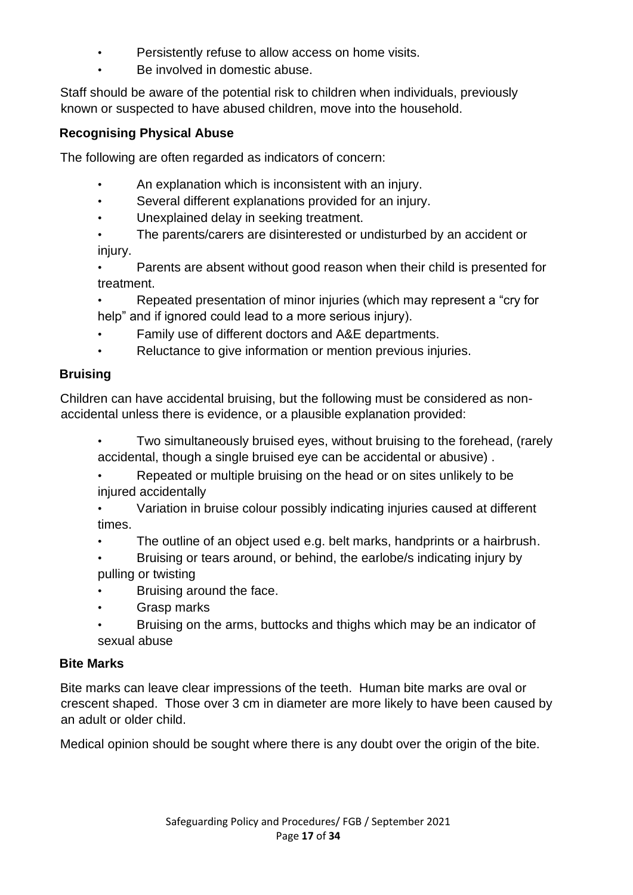- Persistently refuse to allow access on home visits.
- Be involved in domestic abuse.

Staff should be aware of the potential risk to children when individuals, previously known or suspected to have abused children, move into the household.

#### **Recognising Physical Abuse**

The following are often regarded as indicators of concern:

- An explanation which is inconsistent with an injury.
- Several different explanations provided for an injury.
- Unexplained delay in seeking treatment.
- The parents/carers are disinterested or undisturbed by an accident or injury.
- Parents are absent without good reason when their child is presented for treatment.
- Repeated presentation of minor injuries (which may represent a "cry for help" and if ignored could lead to a more serious injury).
- Family use of different doctors and A&E departments.
- Reluctance to give information or mention previous injuries.

#### **Bruising**

Children can have accidental bruising, but the following must be considered as nonaccidental unless there is evidence, or a plausible explanation provided:

- Two simultaneously bruised eyes, without bruising to the forehead, (rarely accidental, though a single bruised eye can be accidental or abusive) .
- Repeated or multiple bruising on the head or on sites unlikely to be injured accidentally
- Variation in bruise colour possibly indicating injuries caused at different times.
- The outline of an object used e.g. belt marks, handprints or a hairbrush.
- Bruising or tears around, or behind, the earlobe/s indicating injury by pulling or twisting
- Bruising around the face.
- Grasp marks
- Bruising on the arms, buttocks and thighs which may be an indicator of sexual abuse

#### **Bite Marks**

Bite marks can leave clear impressions of the teeth. Human bite marks are oval or crescent shaped. Those over 3 cm in diameter are more likely to have been caused by an adult or older child.

Medical opinion should be sought where there is any doubt over the origin of the bite.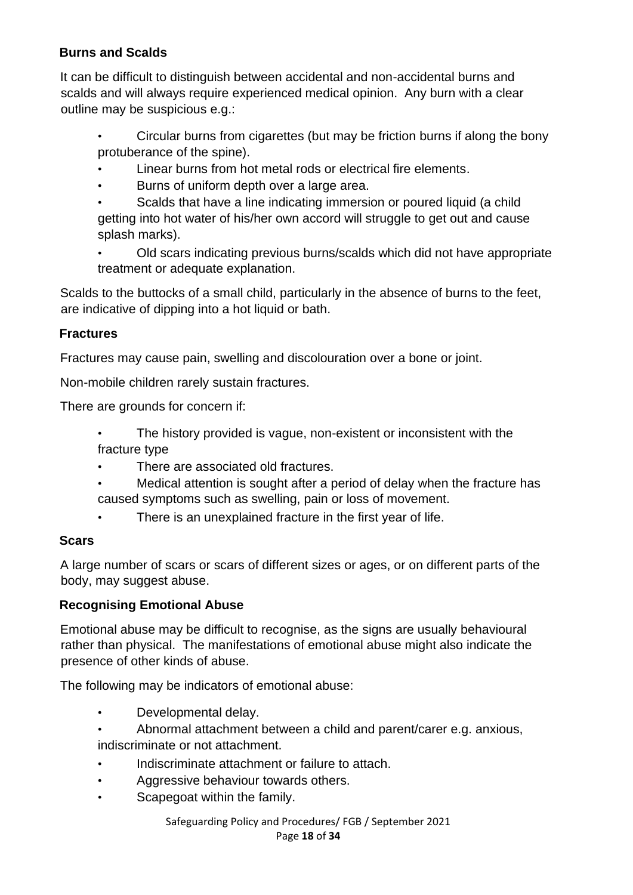### **Burns and Scalds**

It can be difficult to distinguish between accidental and non-accidental burns and scalds and will always require experienced medical opinion. Any burn with a clear outline may be suspicious e.g.:

- Circular burns from cigarettes (but may be friction burns if along the bony protuberance of the spine).
- Linear burns from hot metal rods or electrical fire elements.
- Burns of uniform depth over a large area.
- Scalds that have a line indicating immersion or poured liquid (a child getting into hot water of his/her own accord will struggle to get out and cause splash marks).
- Old scars indicating previous burns/scalds which did not have appropriate treatment or adequate explanation.

Scalds to the buttocks of a small child, particularly in the absence of burns to the feet, are indicative of dipping into a hot liquid or bath.

#### **Fractures**

Fractures may cause pain, swelling and discolouration over a bone or joint.

Non-mobile children rarely sustain fractures.

There are grounds for concern if:

- The history provided is vague, non-existent or inconsistent with the fracture type
- There are associated old fractures.
- Medical attention is sought after a period of delay when the fracture has caused symptoms such as swelling, pain or loss of movement.
	- There is an unexplained fracture in the first year of life.

#### **Scars**

A large number of scars or scars of different sizes or ages, or on different parts of the body, may suggest abuse.

## **Recognising Emotional Abuse**

Emotional abuse may be difficult to recognise, as the signs are usually behavioural rather than physical. The manifestations of emotional abuse might also indicate the presence of other kinds of abuse.

The following may be indicators of emotional abuse:

- Developmental delay.
- Abnormal attachment between a child and parent/carer e.g. anxious, indiscriminate or not attachment.
- Indiscriminate attachment or failure to attach.
- Aggressive behaviour towards others.
- Scapegoat within the family.

Safeguarding Policy and Procedures/ FGB / September 2021 Page **18** of **34**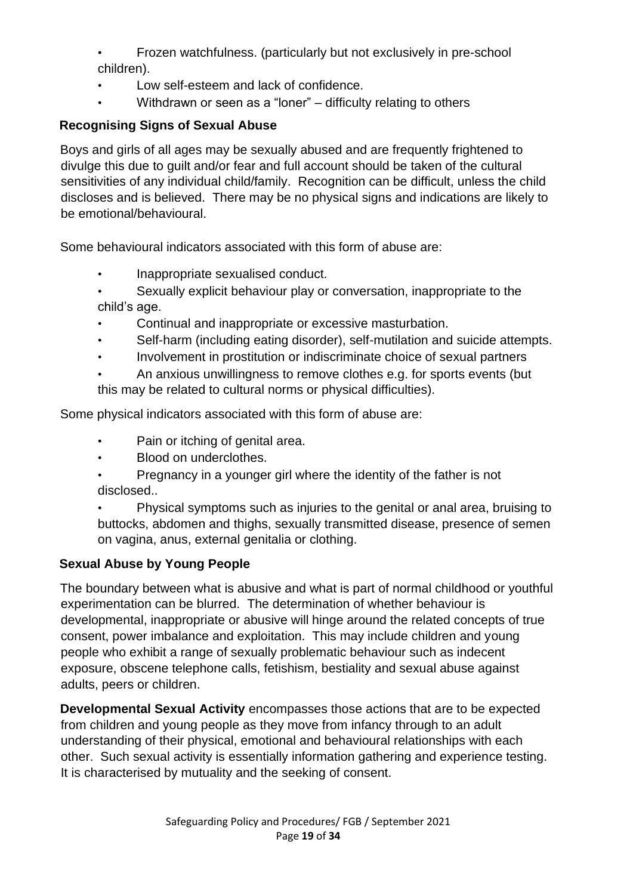- Frozen watchfulness. (particularly but not exclusively in pre-school children).
- Low self-esteem and lack of confidence.
- Withdrawn or seen as a "loner" difficulty relating to others

## **Recognising Signs of Sexual Abuse**

Boys and girls of all ages may be sexually abused and are frequently frightened to divulge this due to guilt and/or fear and full account should be taken of the cultural sensitivities of any individual child/family. Recognition can be difficult, unless the child discloses and is believed. There may be no physical signs and indications are likely to be emotional/behavioural.

Some behavioural indicators associated with this form of abuse are:

- Inappropriate sexualised conduct.
- Sexually explicit behaviour play or conversation, inappropriate to the child's age.
- Continual and inappropriate or excessive masturbation.
- Self-harm (including eating disorder), self-mutilation and suicide attempts.
- Involvement in prostitution or indiscriminate choice of sexual partners
- An anxious unwillingness to remove clothes e.g. for sports events (but this may be related to cultural norms or physical difficulties).

Some physical indicators associated with this form of abuse are:

- Pain or itching of genital area.
- Blood on underclothes.
- Pregnancy in a younger girl where the identity of the father is not disclosed..
- Physical symptoms such as injuries to the genital or anal area, bruising to buttocks, abdomen and thighs, sexually transmitted disease, presence of semen on vagina, anus, external genitalia or clothing.

## **Sexual Abuse by Young People**

The boundary between what is abusive and what is part of normal childhood or youthful experimentation can be blurred. The determination of whether behaviour is developmental, inappropriate or abusive will hinge around the related concepts of true consent, power imbalance and exploitation. This may include children and young people who exhibit a range of sexually problematic behaviour such as indecent exposure, obscene telephone calls, fetishism, bestiality and sexual abuse against adults, peers or children.

**Developmental Sexual Activity** encompasses those actions that are to be expected from children and young people as they move from infancy through to an adult understanding of their physical, emotional and behavioural relationships with each other. Such sexual activity is essentially information gathering and experience testing. It is characterised by mutuality and the seeking of consent.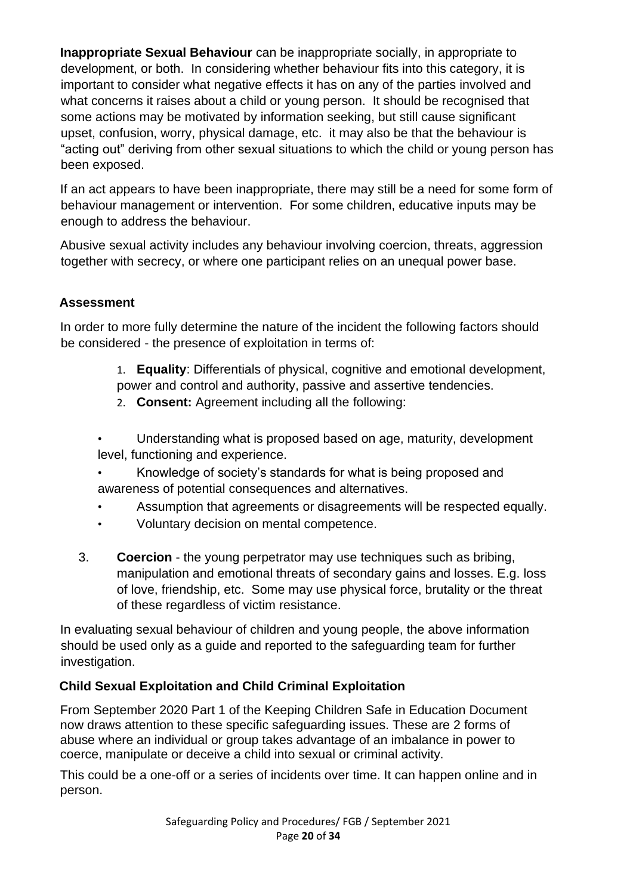**Inappropriate Sexual Behaviour** can be inappropriate socially, in appropriate to development, or both. In considering whether behaviour fits into this category, it is important to consider what negative effects it has on any of the parties involved and what concerns it raises about a child or young person. It should be recognised that some actions may be motivated by information seeking, but still cause significant upset, confusion, worry, physical damage, etc. it may also be that the behaviour is "acting out" deriving from other sexual situations to which the child or young person has been exposed.

If an act appears to have been inappropriate, there may still be a need for some form of behaviour management or intervention. For some children, educative inputs may be enough to address the behaviour.

Abusive sexual activity includes any behaviour involving coercion, threats, aggression together with secrecy, or where one participant relies on an unequal power base.

### **Assessment**

In order to more fully determine the nature of the incident the following factors should be considered - the presence of exploitation in terms of:

- 1. **Equality**: Differentials of physical, cognitive and emotional development, power and control and authority, passive and assertive tendencies.
- 2. **Consent:** Agreement including all the following:
- Understanding what is proposed based on age, maturity, development level, functioning and experience.
- Knowledge of society's standards for what is being proposed and awareness of potential consequences and alternatives.
- Assumption that agreements or disagreements will be respected equally.
- Voluntary decision on mental competence.
- 3. **Coercion** the young perpetrator may use techniques such as bribing, manipulation and emotional threats of secondary gains and losses. E.g. loss of love, friendship, etc. Some may use physical force, brutality or the threat of these regardless of victim resistance.

In evaluating sexual behaviour of children and young people, the above information should be used only as a guide and reported to the safeguarding team for further investigation.

#### **Child Sexual Exploitation and Child Criminal Exploitation**

From September 2020 Part 1 of the Keeping Children Safe in Education Document now draws attention to these specific safeguarding issues. These are 2 forms of abuse where an individual or group takes advantage of an imbalance in power to coerce, manipulate or deceive a child into sexual or criminal activity.

This could be a one-off or a series of incidents over time. It can happen online and in person.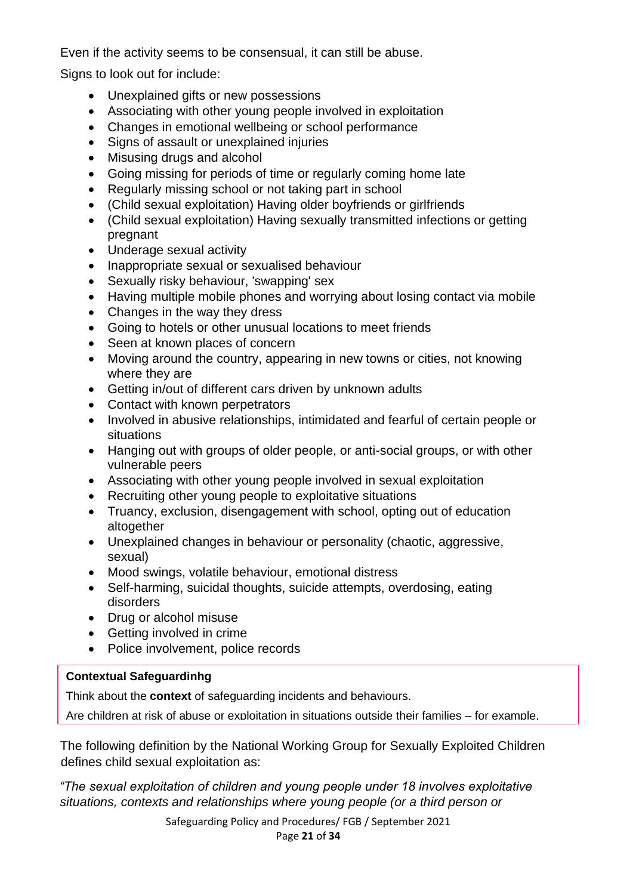Even if the activity seems to be consensual, it can still be abuse.

Signs to look out for include:

- Unexplained gifts or new possessions
- Associating with other young people involved in exploitation
- Changes in emotional wellbeing or school performance
- Signs of assault or unexplained injuries
- Misusing drugs and alcohol
- Going missing for periods of time or regularly coming home late
- Regularly missing school or not taking part in school
- (Child sexual exploitation) Having older boyfriends or girlfriends
- (Child sexual exploitation) Having sexually transmitted infections or getting pregnant
- Underage sexual activity
- Inappropriate sexual or sexualised behaviour
- Sexually risky behaviour, 'swapping' sex
- Having multiple mobile phones and worrying about losing contact via mobile
- Changes in the way they dress
- Going to hotels or other unusual locations to meet friends
- Seen at known places of concern
- Moving around the country, appearing in new towns or cities, not knowing where they are
- Getting in/out of different cars driven by unknown adults
- Contact with known perpetrators
- Involved in abusive relationships, intimidated and fearful of certain people or situations
- Hanging out with groups of older people, or anti-social groups, or with other vulnerable peers
- Associating with other young people involved in sexual exploitation
- Recruiting other young people to exploitative situations
- Truancy, exclusion, disengagement with school, opting out of education altogether
- Unexplained changes in behaviour or personality (chaotic, aggressive, sexual)
- Mood swings, volatile behaviour, emotional distress
- Self-harming, suicidal thoughts, suicide attempts, overdosing, eating disorders
- Drug or alcohol misuse
- Getting involved in crime
- Police involvement, police records

sexual or criminal exploitation, and serious violence?

#### **Contextual Safeguardinhg**

Think about the **context** of safeguarding incidents and behaviours.

Are children at risk of abuse or exploitation in situations outside their families – for example,

The following definition by the National Working Group for Sexually Exploited Children defines child sexual exploitation as:

*"The sexual exploitation of children and young people under 18 involves exploitative situations, contexts and relationships where young people (or a third person or* 

> Safeguarding Policy and Procedures/ FGB / September 2021 Page **21** of **34**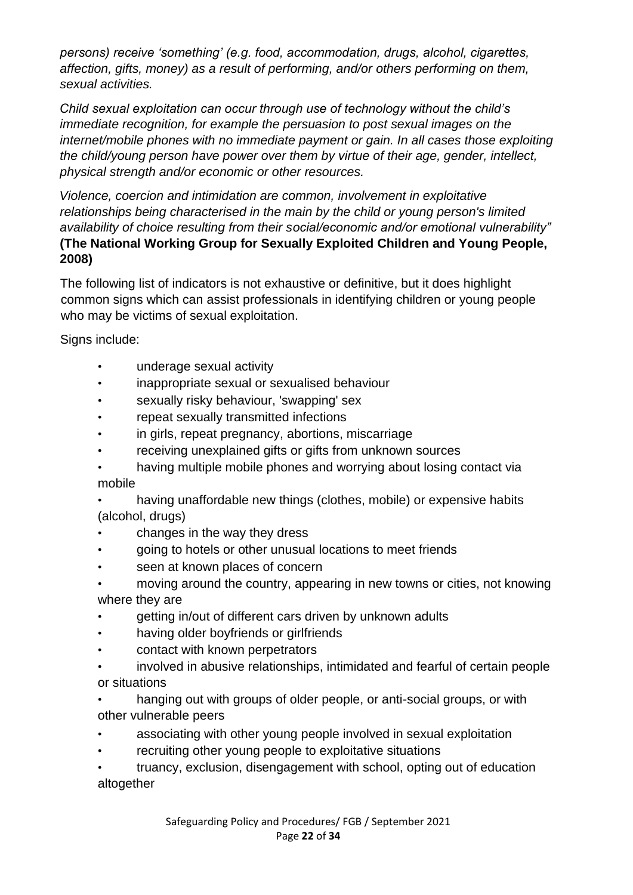*persons) receive 'something' (e.g. food, accommodation, drugs, alcohol, cigarettes, affection, gifts, money) as a result of performing, and/or others performing on them, sexual activities.* 

*Child sexual exploitation can occur through use of technology without the child's immediate recognition, for example the persuasion to post sexual images on the internet/mobile phones with no immediate payment or gain. In all cases those exploiting the child/young person have power over them by virtue of their age, gender, intellect, physical strength and/or economic or other resources.* 

*Violence, coercion and intimidation are common, involvement in exploitative relationships being characterised in the main by the child or young person's limited availability of choice resulting from their social/economic and/or emotional vulnerability"* **(The National Working Group for Sexually Exploited Children and Young People, 2008)** 

The following list of indicators is not exhaustive or definitive, but it does highlight common signs which can assist professionals in identifying children or young people who may be victims of sexual exploitation.

Signs include:

- underage sexual activity
- inappropriate sexual or sexualised behaviour
- sexually risky behaviour, 'swapping' sex
- repeat sexually transmitted infections
- in girls, repeat pregnancy, abortions, miscarriage
- receiving unexplained gifts or gifts from unknown sources
- having multiple mobile phones and worrying about losing contact via mobile

• having unaffordable new things (clothes, mobile) or expensive habits (alcohol, drugs)

- changes in the way they dress
- going to hotels or other unusual locations to meet friends
- seen at known places of concern
- moving around the country, appearing in new towns or cities, not knowing where they are
- getting in/out of different cars driven by unknown adults
- having older boyfriends or girlfriends
- contact with known perpetrators
- involved in abusive relationships, intimidated and fearful of certain people or situations
- hanging out with groups of older people, or anti-social groups, or with other vulnerable peers
- associating with other young people involved in sexual exploitation
- recruiting other young people to exploitative situations

• truancy, exclusion, disengagement with school, opting out of education altogether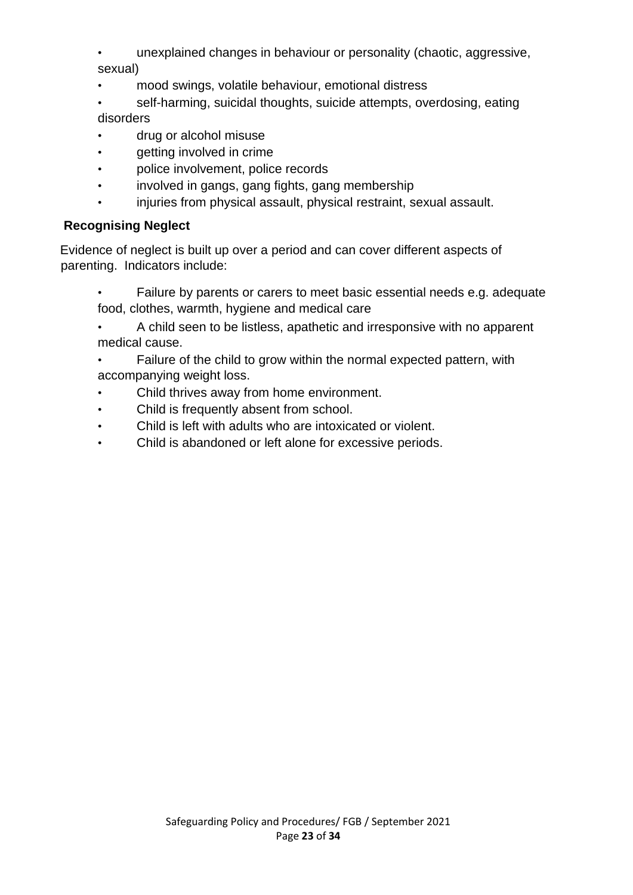- unexplained changes in behaviour or personality (chaotic, aggressive, sexual)
- mood swings, volatile behaviour, emotional distress
- self-harming, suicidal thoughts, suicide attempts, overdosing, eating disorders
- drug or alcohol misuse
- getting involved in crime
- police involvement, police records
- involved in gangs, gang fights, gang membership
- injuries from physical assault, physical restraint, sexual assault.

## **Recognising Neglect**

Evidence of neglect is built up over a period and can cover different aspects of parenting. Indicators include:

- Failure by parents or carers to meet basic essential needs e.g. adequate food, clothes, warmth, hygiene and medical care
- A child seen to be listless, apathetic and irresponsive with no apparent medical cause.
- Failure of the child to grow within the normal expected pattern, with accompanying weight loss.
- Child thrives away from home environment.
- Child is frequently absent from school.
- Child is left with adults who are intoxicated or violent.
- Child is abandoned or left alone for excessive periods.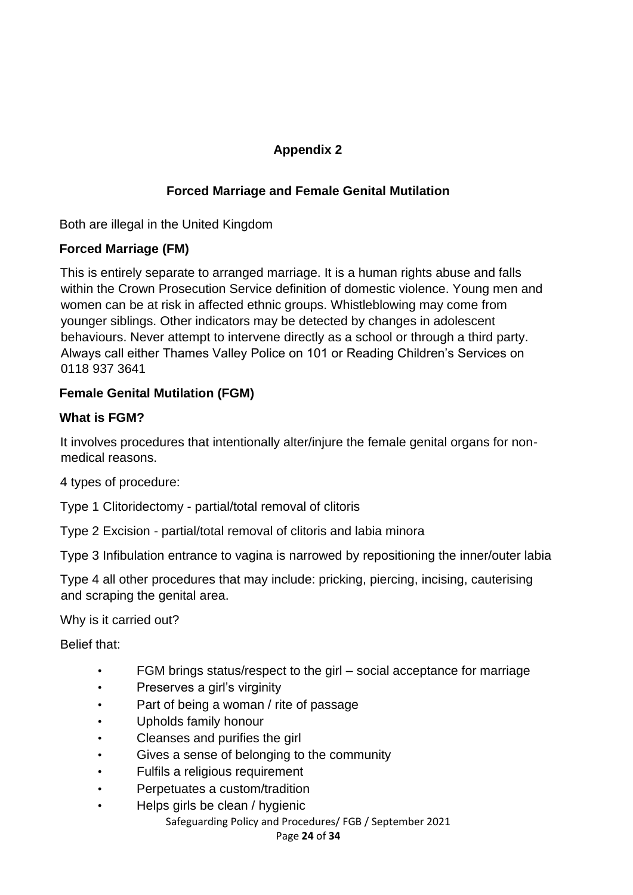## **Appendix 2**

## **Forced Marriage and Female Genital Mutilation**

Both are illegal in the United Kingdom

### **Forced Marriage (FM)**

This is entirely separate to arranged marriage. It is a human rights abuse and falls within the Crown Prosecution Service definition of domestic violence. Young men and women can be at risk in affected ethnic groups. Whistleblowing may come from younger siblings. Other indicators may be detected by changes in adolescent behaviours. Never attempt to intervene directly as a school or through a third party. Always call either Thames Valley Police on 101 or Reading Children's Services on 0118 937 3641

### **Female Genital Mutilation (FGM)**

### **What is FGM?**

It involves procedures that intentionally alter/injure the female genital organs for nonmedical reasons.

4 types of procedure:

Type 1 Clitoridectomy - partial/total removal of clitoris

Type 2 Excision - partial/total removal of clitoris and labia minora

Type 3 Infibulation entrance to vagina is narrowed by repositioning the inner/outer labia

Type 4 all other procedures that may include: pricking, piercing, incising, cauterising and scraping the genital area.

Why is it carried out?

Belief that:

- FGM brings status/respect to the girl social acceptance for marriage
- Preserves a girl's virginity
- Part of being a woman / rite of passage
- Upholds family honour
- Cleanses and purifies the girl
- Gives a sense of belonging to the community
- Fulfils a religious requirement
- Perpetuates a custom/tradition
- Helps girls be clean / hygienic

Safeguarding Policy and Procedures/ FGB / September 2021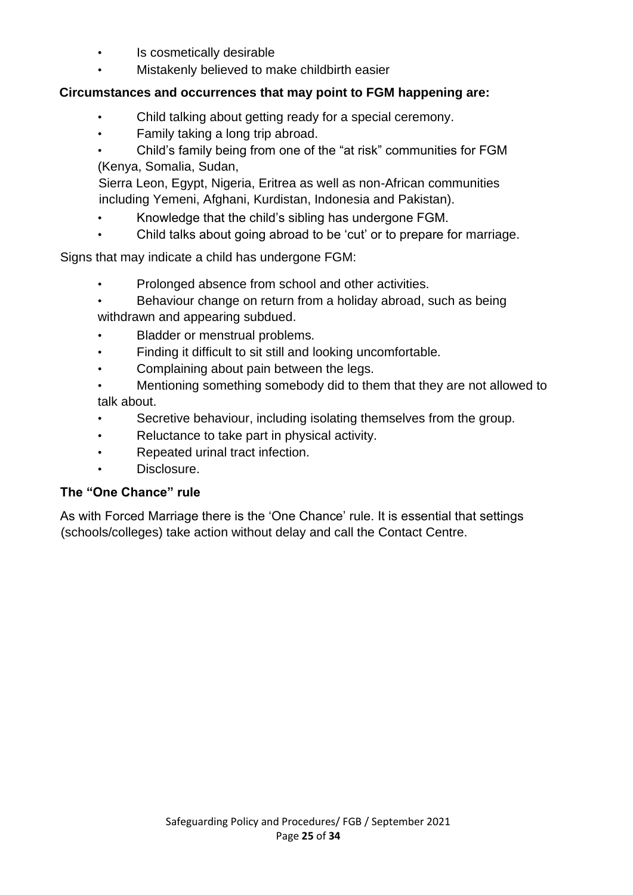- Is cosmetically desirable
- Mistakenly believed to make childbirth easier

#### **Circumstances and occurrences that may point to FGM happening are:**

- Child talking about getting ready for a special ceremony.
- Family taking a long trip abroad.
- Child's family being from one of the "at risk" communities for FGM (Kenya, Somalia, Sudan,

Sierra Leon, Egypt, Nigeria, Eritrea as well as non-African communities including Yemeni, Afghani, Kurdistan, Indonesia and Pakistan).

- Knowledge that the child's sibling has undergone FGM.
- Child talks about going abroad to be 'cut' or to prepare for marriage.

Signs that may indicate a child has undergone FGM:

- Prolonged absence from school and other activities.
- Behaviour change on return from a holiday abroad, such as being withdrawn and appearing subdued.
- Bladder or menstrual problems.
- Finding it difficult to sit still and looking uncomfortable.
- Complaining about pain between the legs.
- Mentioning something somebody did to them that they are not allowed to talk about.
- Secretive behaviour, including isolating themselves from the group.
- Reluctance to take part in physical activity.
- Repeated urinal tract infection.
- Disclosure.

#### **The "One Chance" rule**

As with Forced Marriage there is the 'One Chance' rule. It is essential that settings (schools/colleges) take action without delay and call the Contact Centre.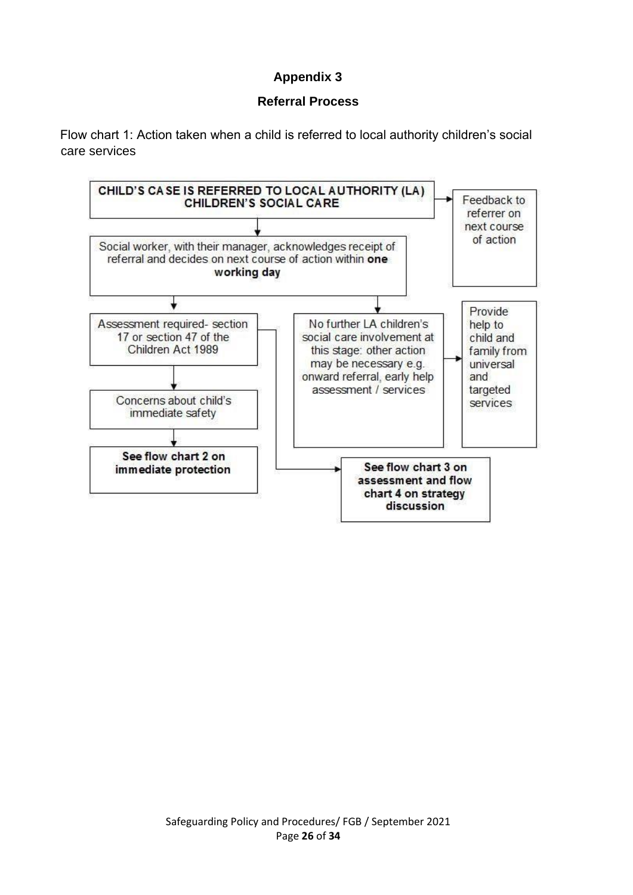## **Appendix 3**

#### **Referral Process**

Flow chart 1: Action taken when a child is referred to local authority children's social care services

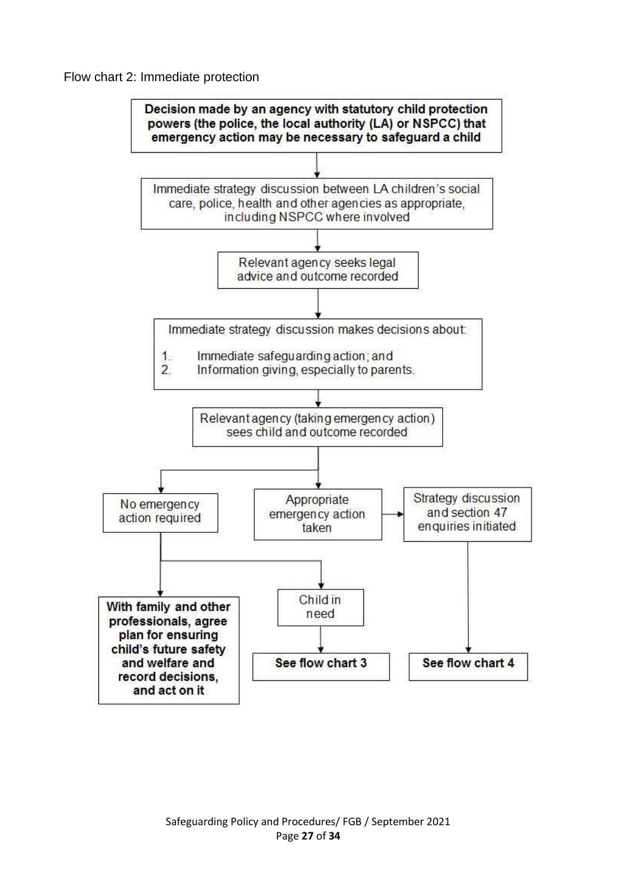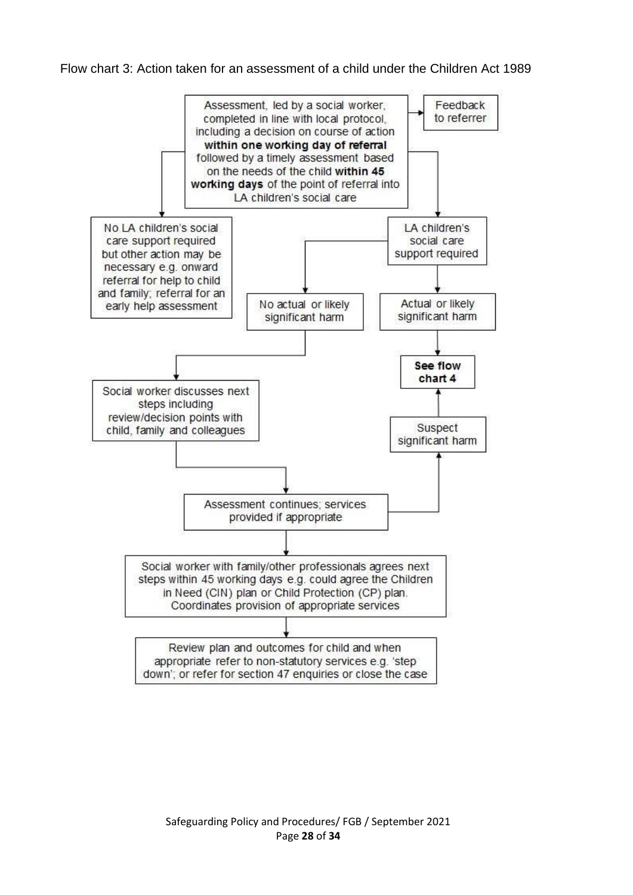#### Flow chart 3: Action taken for an assessment of a child under the Children Act 1989

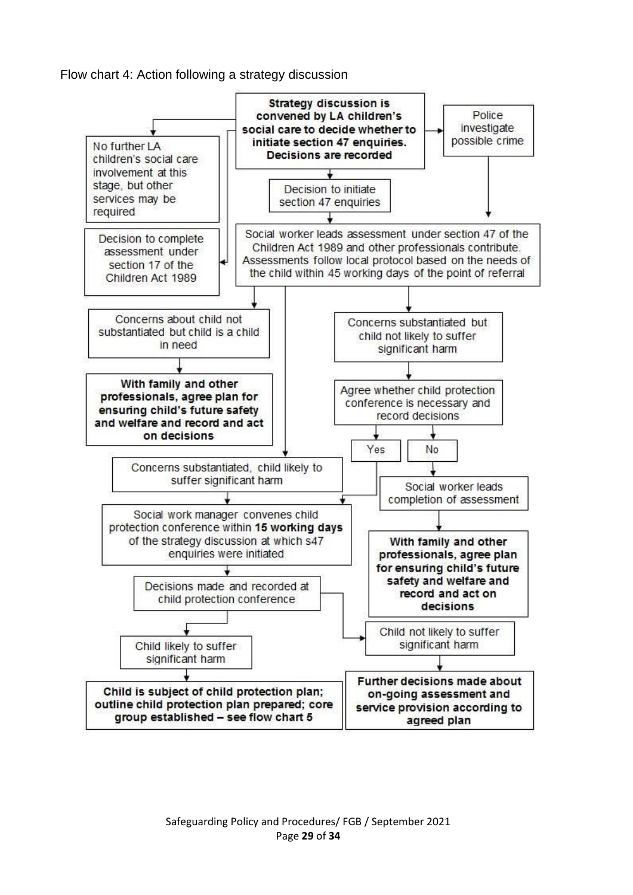Flow chart 4: Action following a strategy discussion

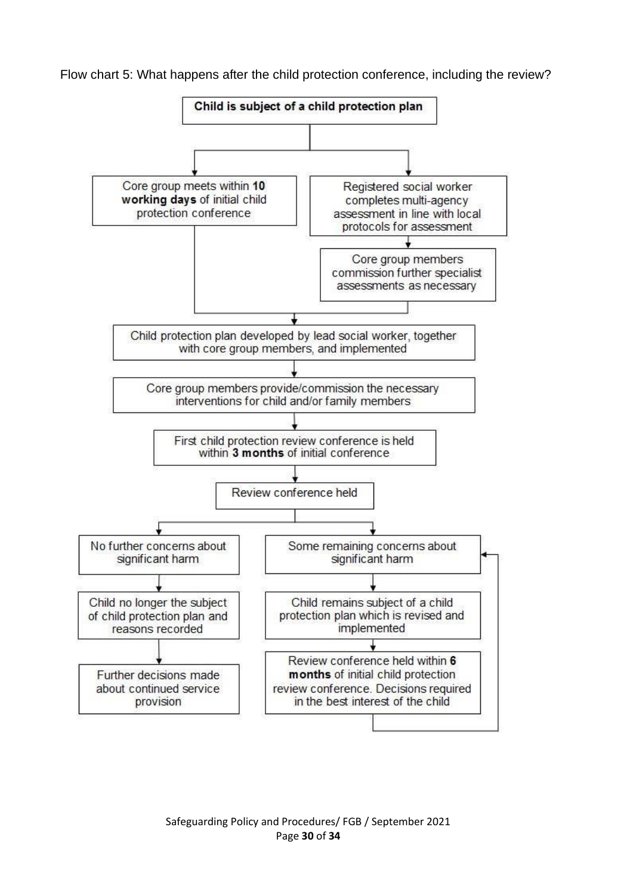Flow chart 5: What happens after the child protection conference, including the review?



Safeguarding Policy and Procedures/ FGB / September 2021 Page **30** of **34**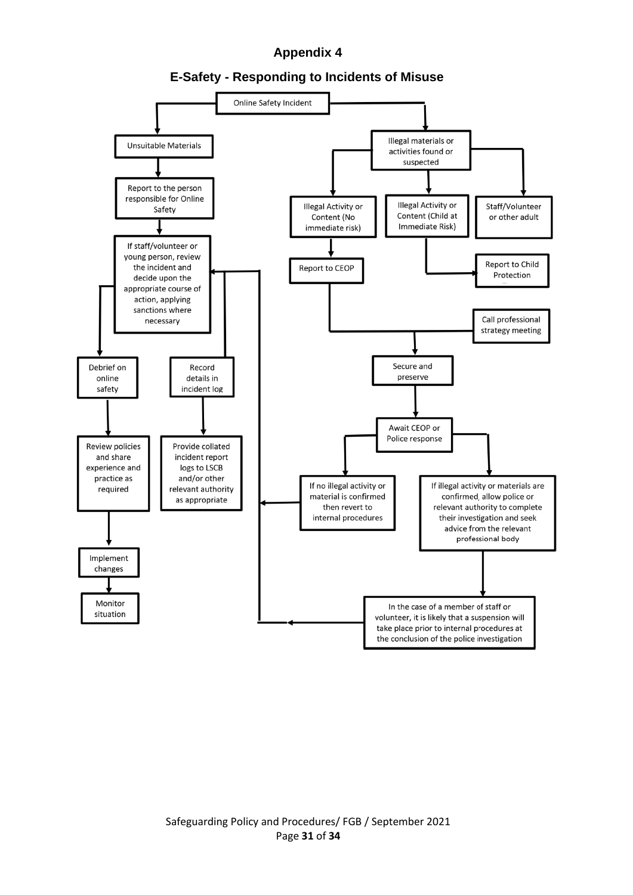#### **Appendix 4**



**E-Safety - Responding to Incidents of Misuse**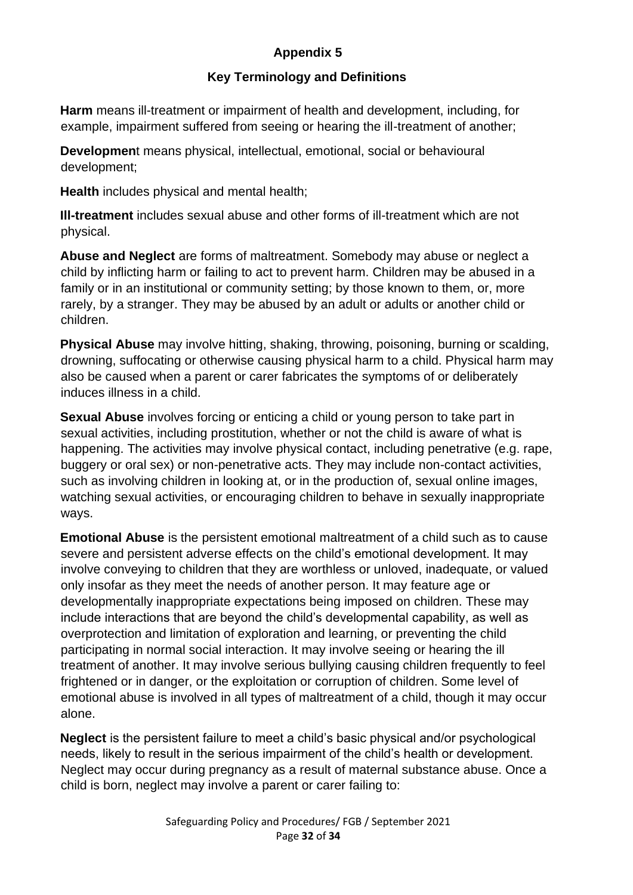## **Appendix 5**

### **Key Terminology and Definitions**

**Harm** means ill-treatment or impairment of health and development, including, for example, impairment suffered from seeing or hearing the ill-treatment of another;

**Developmen**t means physical, intellectual, emotional, social or behavioural development;

**Health** includes physical and mental health;

**Ill-treatment** includes sexual abuse and other forms of ill-treatment which are not physical.

**Abuse and Neglect** are forms of maltreatment. Somebody may abuse or neglect a child by inflicting harm or failing to act to prevent harm. Children may be abused in a family or in an institutional or community setting; by those known to them, or, more rarely, by a stranger. They may be abused by an adult or adults or another child or children.

**Physical Abuse** may involve hitting, shaking, throwing, poisoning, burning or scalding, drowning, suffocating or otherwise causing physical harm to a child. Physical harm may also be caused when a parent or carer fabricates the symptoms of or deliberately induces illness in a child.

**Sexual Abuse** involves forcing or enticing a child or young person to take part in sexual activities, including prostitution, whether or not the child is aware of what is happening. The activities may involve physical contact, including penetrative (e.g. rape, buggery or oral sex) or non-penetrative acts. They may include non-contact activities, such as involving children in looking at, or in the production of, sexual online images, watching sexual activities, or encouraging children to behave in sexually inappropriate ways.

**Emotional Abuse** is the persistent emotional maltreatment of a child such as to cause severe and persistent adverse effects on the child's emotional development. It may involve conveying to children that they are worthless or unloved, inadequate, or valued only insofar as they meet the needs of another person. It may feature age or developmentally inappropriate expectations being imposed on children. These may include interactions that are beyond the child's developmental capability, as well as overprotection and limitation of exploration and learning, or preventing the child participating in normal social interaction. It may involve seeing or hearing the ill treatment of another. It may involve serious bullying causing children frequently to feel frightened or in danger, or the exploitation or corruption of children. Some level of emotional abuse is involved in all types of maltreatment of a child, though it may occur alone.

**Neglect** is the persistent failure to meet a child's basic physical and/or psychological needs, likely to result in the serious impairment of the child's health or development. Neglect may occur during pregnancy as a result of maternal substance abuse. Once a child is born, neglect may involve a parent or carer failing to: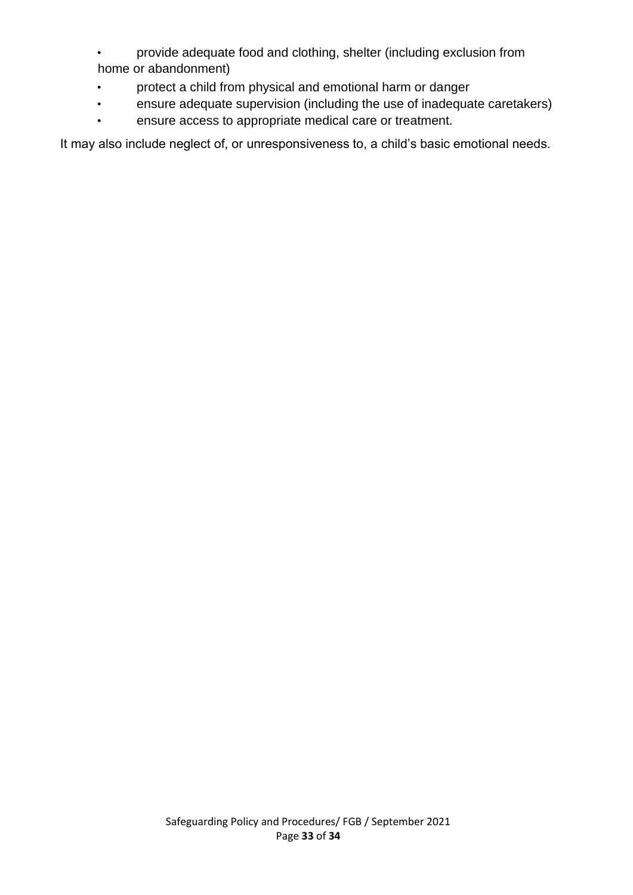- provide adequate food and clothing, shelter (including exclusion from home or abandonment)
- protect a child from physical and emotional harm or danger
- ensure adequate supervision (including the use of inadequate caretakers)
- ensure access to appropriate medical care or treatment.

It may also include neglect of, or unresponsiveness to, a child's basic emotional needs.